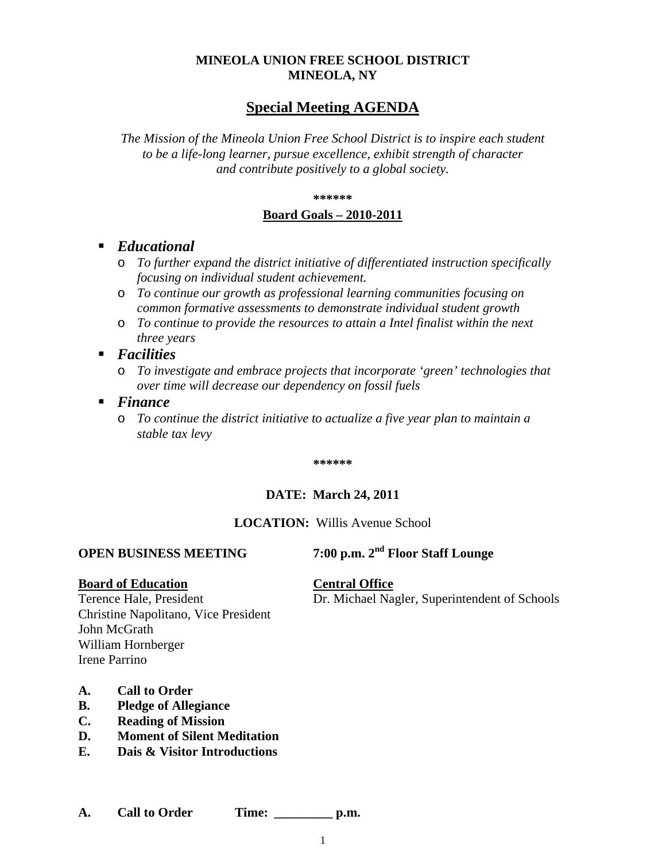# **MINEOLA UNION FREE SCHOOL DISTRICT MINEOLA, NY**

# **Special Meeting AGENDA**

*The Mission of the Mineola Union Free School District is to inspire each student to be a life-long learner, pursue excellence, exhibit strength of character and contribute positively to a global society.*

#### **\*\*\*\*\*\***

#### **Board Goals – 2010-2011**

- *Educational*
	- o *To further expand the district initiative of differentiated instruction specifically focusing on individual student achievement.*
	- o *To continue our growth as professional learning communities focusing on common formative assessments to demonstrate individual student growth*
	- o *To continue to provide the resources to attain a Intel finalist within the next three years*

#### *Facilities*

o *To investigate and embrace projects that incorporate 'green' technologies that over time will decrease our dependency on fossil fuels*

#### *Finance*

o *To continue the district initiative to actualize a five year plan to maintain a stable tax levy* 

**\*\*\*\*\*\***

#### **DATE: March 24, 2011**

### **LOCATION:** Willis Avenue School

# **OPEN BUSINESS MEETING 7:00 p.m. 2nd Floor Staff Lounge**

#### **Board of Education Central Office**

Terence Hale, President Dr. Michael Nagler, Superintendent of Schools

Christine Napolitano, Vice President John McGrath William Hornberger Irene Parrino

- **A. Call to Order**
- **B. Pledge of Allegiance**
- **C. Reading of Mission**
- **D. Moment of Silent Meditation**
- **E. Dais & Visitor Introductions**

**A. Call to Order Time: \_\_\_\_\_\_\_\_\_ p.m.**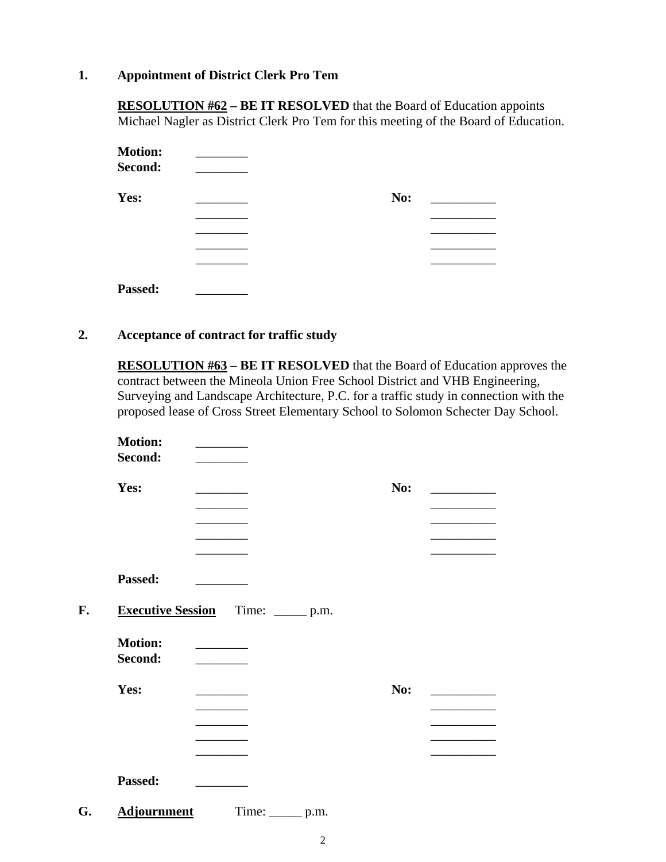## **1. Appointment of District Clerk Pro Tem**

**RESOLUTION #62 – BE IT RESOLVED** that the Board of Education appoints Michael Nagler as District Clerk Pro Tem for this meeting of the Board of Education.

| <b>Motion:</b><br>Second: |     |  |
|---------------------------|-----|--|
| Yes:                      | No: |  |
|                           |     |  |
|                           |     |  |
| Passed:                   |     |  |

### **2. Acceptance of contract for traffic study**

**RESOLUTION #63 – BE IT RESOLVED** that the Board of Education approves the contract between the Mineola Union Free School District and VHB Engineering, Surveying and Landscape Architecture, P.C. for a traffic study in connection with the proposed lease of Cross Street Elementary School to Solomon Schecter Day School.

| <b>Motion:</b><br>Second: |                                            |     |  |
|---------------------------|--------------------------------------------|-----|--|
| Yes:                      |                                            | No: |  |
|                           |                                            |     |  |
|                           |                                            |     |  |
|                           |                                            |     |  |
| Passed:                   |                                            |     |  |
|                           | <b>Executive Session</b> Time: ______ p.m. |     |  |
| <b>Motion:</b><br>Second: |                                            |     |  |
| Yes:                      |                                            | No: |  |
|                           |                                            |     |  |
|                           |                                            |     |  |
|                           |                                            |     |  |
| Passed:                   |                                            |     |  |
| <b>Adjournment</b>        | Time: ________ p.m.                        |     |  |